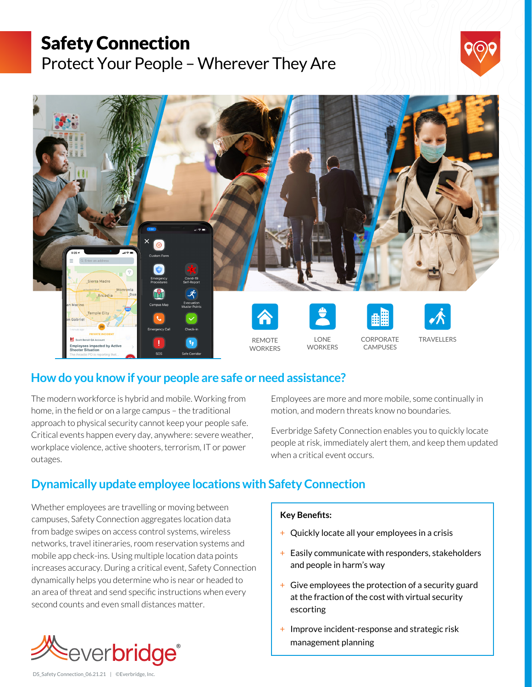# Safety Connection

Protect Your People – Wherever They Are





### **How do you know if your people are safe or need assistance?**

The modern workforce is hybrid and mobile. Working from home, in the field or on a large campus – the traditional approach to physical security cannot keep your people safe. Critical events happen every day, anywhere: severe weather, workplace violence, active shooters, terrorism, IT or power outages.

Employees are more and more mobile, some continually in motion, and modern threats know no boundaries.

Everbridge Safety Connection enables you to quickly locate people at risk, immediately alert them, and keep them updated when a critical event occurs.

## **Dynamically update employee locations with Safety Connection**

Whether employees are travelling or moving between campuses, Safety Connection aggregates location data from badge swipes on access control systems, wireless networks, travel itineraries, room reservation systems and mobile app check-ins. Using multiple location data points increases accuracy. During a critical event, Safety Connection dynamically helps you determine who is near or headed to an area of threat and send specific instructions when every second counts and even small distances matter.



**Key Benefits:**

- + Quickly locate all your employees in a crisis
- + Easily communicate with responders, stakeholders and people in harm's way
- + Give employees the protection of a security guard at the fraction of the cost with virtual security escorting
- + Improve incident-response and strategic risk management planning

DS\_Safety Connection\_06.21.21 | ©Everbridge, Inc.